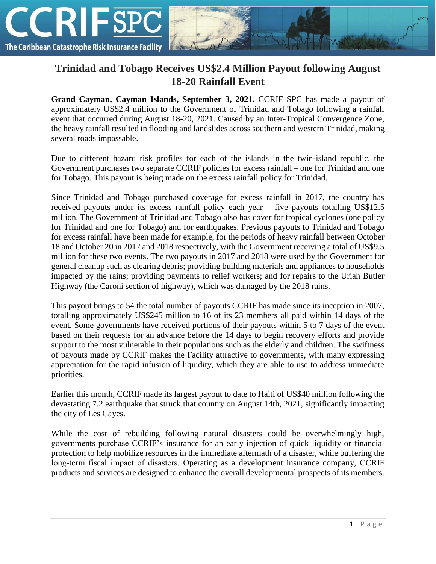

## **Trinidad and Tobago Receives US\$2.4 Million Payout following August 18-20 Rainfall Event**

**Grand Cayman, Cayman Islands, September 3, 2021.** CCRIF SPC has made a payout of approximately US\$2.4 million to the Government of Trinidad and Tobago following a rainfall event that occurred during August 18-20, 2021. Caused by an Inter-Tropical Convergence Zone, the heavy rainfall resulted in flooding and landslides across southern and western Trinidad, making several roads impassable.

Due to different hazard risk profiles for each of the islands in the twin-island republic, the Government purchases two separate CCRIF policies for excess rainfall – one for Trinidad and one for Tobago. This payout is being made on the excess rainfall policy for Trinidad.

Since Trinidad and Tobago purchased coverage for excess rainfall in 2017, the country has received payouts under its excess rainfall policy each year – five payouts totalling US\$12.5 million. The Government of Trinidad and Tobago also has cover for tropical cyclones (one policy for Trinidad and one for Tobago) and for earthquakes. Previous payouts to Trinidad and Tobago for excess rainfall have been made for example, for the periods of heavy rainfall between October 18 and October 20 in 2017 and 2018 respectively, with the Government receiving a total of US\$9.5 million for these two events. The two payouts in 2017 and 2018 were used by the Government for general cleanup such as clearing debris; providing building materials and appliances to households impacted by the rains; providing payments to relief workers; and for repairs to the Uriah Butler Highway (the Caroni section of highway), which was damaged by the 2018 rains.

This payout brings to 54 the total number of payouts CCRIF has made since its inception in 2007, totalling approximately US\$245 million to 16 of its 23 members all paid within 14 days of the event. Some governments have received portions of their payouts within 5 to 7 days of the event based on their requests for an advance before the 14 days to begin recovery efforts and provide support to the most vulnerable in their populations such as the elderly and children. The swiftness of payouts made by CCRIF makes the Facility attractive to governments, with many expressing appreciation for the rapid infusion of liquidity, which they are able to use to address immediate priorities.

Earlier this month, CCRIF made its largest payout to date to Haiti of US\$40 million following the devastating 7.2 earthquake that struck that country on August 14th, 2021, significantly impacting the city of Les Cayes.

While the cost of rebuilding following natural disasters could be overwhelmingly high, governments purchase CCRIF's insurance for an early injection of quick liquidity or financial protection to help mobilize resources in the immediate aftermath of a disaster, while buffering the long-term fiscal impact of disasters. Operating as a development insurance company, CCRIF products and services are designed to enhance the overall developmental prospects of its members.